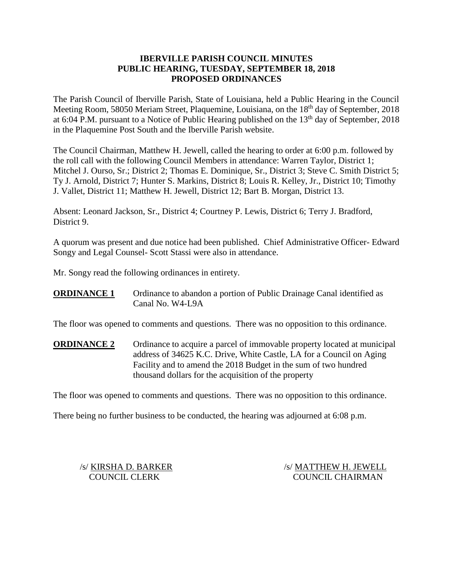## **IBERVILLE PARISH COUNCIL MINUTES PUBLIC HEARING, TUESDAY, SEPTEMBER 18, 2018 PROPOSED ORDINANCES**

The Parish Council of Iberville Parish, State of Louisiana, held a Public Hearing in the Council Meeting Room, 58050 Meriam Street, Plaquemine, Louisiana, on the 18<sup>th</sup> day of September, 2018 at 6:04 P.M. pursuant to a Notice of Public Hearing published on the  $13<sup>th</sup>$  day of September, 2018 in the Plaquemine Post South and the Iberville Parish website.

The Council Chairman, Matthew H. Jewell, called the hearing to order at 6:00 p.m. followed by the roll call with the following Council Members in attendance: Warren Taylor, District 1; Mitchel J. Ourso, Sr.; District 2; Thomas E. Dominique, Sr., District 3; Steve C. Smith District 5; Ty J. Arnold, District 7; Hunter S. Markins, District 8; Louis R. Kelley, Jr., District 10; Timothy J. Vallet, District 11; Matthew H. Jewell, District 12; Bart B. Morgan, District 13.

Absent: Leonard Jackson, Sr., District 4; Courtney P. Lewis, District 6; Terry J. Bradford, District 9.

A quorum was present and due notice had been published. Chief Administrative Officer- Edward Songy and Legal Counsel- Scott Stassi were also in attendance.

Mr. Songy read the following ordinances in entirety.

**ORDINANCE 1** Ordinance to abandon a portion of Public Drainage Canal identified as Canal No. W4-L9A

The floor was opened to comments and questions. There was no opposition to this ordinance.

**ORDINANCE 2** Ordinance to acquire a parcel of immovable property located at municipal address of 34625 K.C. Drive, White Castle, LA for a Council on Aging Facility and to amend the 2018 Budget in the sum of two hundred thousand dollars for the acquisition of the property

The floor was opened to comments and questions. There was no opposition to this ordinance.

There being no further business to be conducted, the hearing was adjourned at 6:08 p.m.

/s/ KIRSHA D. BARKER /s/ MATTHEW H. JEWELL COUNCIL CLERK COUNCIL CHAIRMAN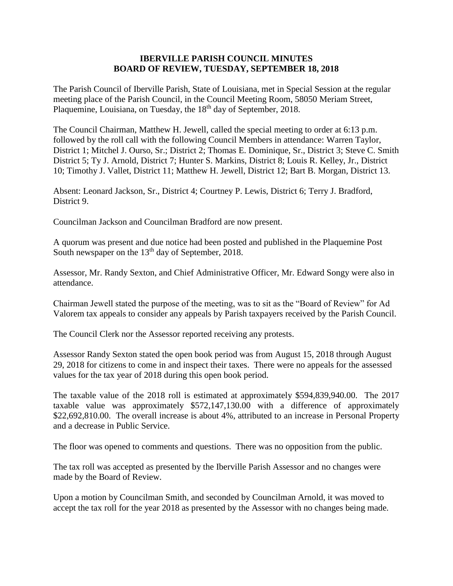#### **IBERVILLE PARISH COUNCIL MINUTES BOARD OF REVIEW, TUESDAY, SEPTEMBER 18, 2018**

The Parish Council of Iberville Parish, State of Louisiana, met in Special Session at the regular meeting place of the Parish Council, in the Council Meeting Room, 58050 Meriam Street, Plaquemine, Louisiana, on Tuesday, the 18<sup>th</sup> day of September, 2018.

The Council Chairman, Matthew H. Jewell, called the special meeting to order at 6:13 p.m. followed by the roll call with the following Council Members in attendance: Warren Taylor, District 1; Mitchel J. Ourso, Sr.; District 2; Thomas E. Dominique, Sr., District 3; Steve C. Smith District 5; Ty J. Arnold, District 7; Hunter S. Markins, District 8; Louis R. Kelley, Jr., District 10; Timothy J. Vallet, District 11; Matthew H. Jewell, District 12; Bart B. Morgan, District 13.

Absent: Leonard Jackson, Sr., District 4; Courtney P. Lewis, District 6; Terry J. Bradford, District 9.

Councilman Jackson and Councilman Bradford are now present.

A quorum was present and due notice had been posted and published in the Plaquemine Post South newspaper on the 13<sup>th</sup> day of September, 2018.

Assessor, Mr. Randy Sexton, and Chief Administrative Officer, Mr. Edward Songy were also in attendance.

Chairman Jewell stated the purpose of the meeting, was to sit as the "Board of Review" for Ad Valorem tax appeals to consider any appeals by Parish taxpayers received by the Parish Council.

The Council Clerk nor the Assessor reported receiving any protests.

Assessor Randy Sexton stated the open book period was from August 15, 2018 through August 29, 2018 for citizens to come in and inspect their taxes. There were no appeals for the assessed values for the tax year of 2018 during this open book period.

The taxable value of the 2018 roll is estimated at approximately \$594,839,940.00. The 2017 taxable value was approximately \$572,147,130.00 with a difference of approximately \$22,692,810.00. The overall increase is about 4%, attributed to an increase in Personal Property and a decrease in Public Service.

The floor was opened to comments and questions. There was no opposition from the public.

The tax roll was accepted as presented by the Iberville Parish Assessor and no changes were made by the Board of Review.

Upon a motion by Councilman Smith, and seconded by Councilman Arnold, it was moved to accept the tax roll for the year 2018 as presented by the Assessor with no changes being made.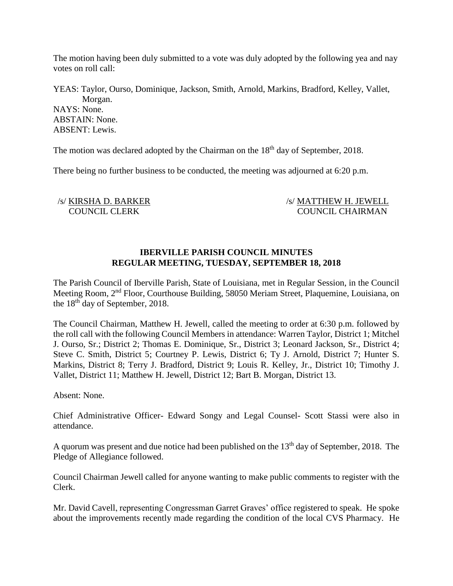The motion having been duly submitted to a vote was duly adopted by the following yea and nay votes on roll call:

YEAS: Taylor, Ourso, Dominique, Jackson, Smith, Arnold, Markins, Bradford, Kelley, Vallet, Morgan. NAYS: None. ABSTAIN: None. ABSENT: Lewis.

The motion was declared adopted by the Chairman on the 18<sup>th</sup> day of September, 2018.

There being no further business to be conducted, the meeting was adjourned at 6:20 p.m.

 /s/ KIRSHA D. BARKER /s/ MATTHEW H. JEWELL COUNCIL CLERK COUNCIL CHAIRMAN

# **IBERVILLE PARISH COUNCIL MINUTES REGULAR MEETING, TUESDAY, SEPTEMBER 18, 2018**

The Parish Council of Iberville Parish, State of Louisiana, met in Regular Session, in the Council Meeting Room, 2<sup>nd</sup> Floor, Courthouse Building, 58050 Meriam Street, Plaquemine, Louisiana, on the 18th day of September, 2018.

The Council Chairman, Matthew H. Jewell, called the meeting to order at 6:30 p.m. followed by the roll call with the following Council Members in attendance: Warren Taylor, District 1; Mitchel J. Ourso, Sr.; District 2; Thomas E. Dominique, Sr., District 3; Leonard Jackson, Sr., District 4; Steve C. Smith, District 5; Courtney P. Lewis, District 6; Ty J. Arnold, District 7; Hunter S. Markins, District 8; Terry J. Bradford, District 9; Louis R. Kelley, Jr., District 10; Timothy J. Vallet, District 11; Matthew H. Jewell, District 12; Bart B. Morgan, District 13.

Absent: None.

Chief Administrative Officer- Edward Songy and Legal Counsel- Scott Stassi were also in attendance.

A quorum was present and due notice had been published on the  $13<sup>th</sup>$  day of September, 2018. The Pledge of Allegiance followed.

Council Chairman Jewell called for anyone wanting to make public comments to register with the Clerk.

Mr. David Cavell, representing Congressman Garret Graves' office registered to speak. He spoke about the improvements recently made regarding the condition of the local CVS Pharmacy. He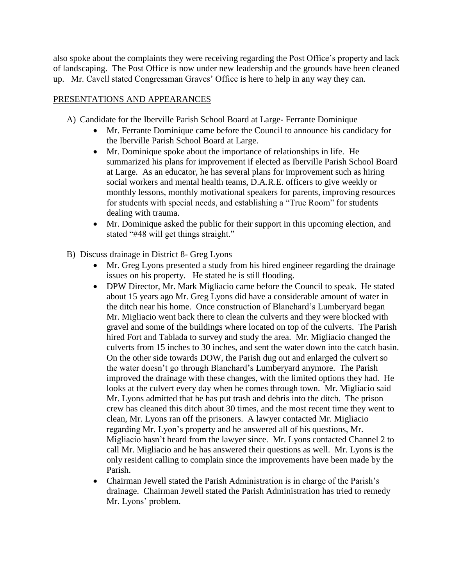also spoke about the complaints they were receiving regarding the Post Office's property and lack of landscaping. The Post Office is now under new leadership and the grounds have been cleaned up. Mr. Cavell stated Congressman Graves' Office is here to help in any way they can.

# PRESENTATIONS AND APPEARANCES

- A) Candidate for the Iberville Parish School Board at Large- Ferrante Dominique
	- Mr. Ferrante Dominique came before the Council to announce his candidacy for the Iberville Parish School Board at Large.
	- Mr. Dominique spoke about the importance of relationships in life. He summarized his plans for improvement if elected as Iberville Parish School Board at Large. As an educator, he has several plans for improvement such as hiring social workers and mental health teams, D.A.R.E. officers to give weekly or monthly lessons, monthly motivational speakers for parents, improving resources for students with special needs, and establishing a "True Room" for students dealing with trauma.
	- Mr. Dominique asked the public for their support in this upcoming election, and stated "#48 will get things straight."
- B) Discuss drainage in District 8- Greg Lyons
	- Mr. Greg Lyons presented a study from his hired engineer regarding the drainage issues on his property. He stated he is still flooding.
	- DPW Director, Mr. Mark Migliacio came before the Council to speak. He stated about 15 years ago Mr. Greg Lyons did have a considerable amount of water in the ditch near his home. Once construction of Blanchard's Lumberyard began Mr. Migliacio went back there to clean the culverts and they were blocked with gravel and some of the buildings where located on top of the culverts. The Parish hired Fort and Tablada to survey and study the area. Mr. Migliacio changed the culverts from 15 inches to 30 inches, and sent the water down into the catch basin. On the other side towards DOW, the Parish dug out and enlarged the culvert so the water doesn't go through Blanchard's Lumberyard anymore. The Parish improved the drainage with these changes, with the limited options they had. He looks at the culvert every day when he comes through town. Mr. Migliacio said Mr. Lyons admitted that he has put trash and debris into the ditch. The prison crew has cleaned this ditch about 30 times, and the most recent time they went to clean, Mr. Lyons ran off the prisoners. A lawyer contacted Mr. Migliacio regarding Mr. Lyon's property and he answered all of his questions, Mr. Migliacio hasn't heard from the lawyer since. Mr. Lyons contacted Channel 2 to call Mr. Migliacio and he has answered their questions as well. Mr. Lyons is the only resident calling to complain since the improvements have been made by the Parish.
	- Chairman Jewell stated the Parish Administration is in charge of the Parish's drainage. Chairman Jewell stated the Parish Administration has tried to remedy Mr. Lyons' problem.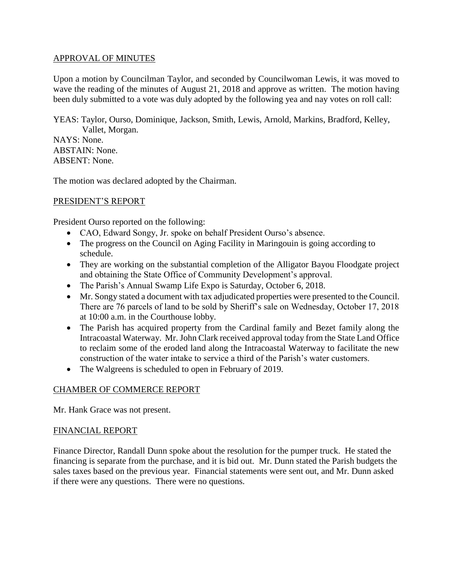## APPROVAL OF MINUTES

Upon a motion by Councilman Taylor, and seconded by Councilwoman Lewis, it was moved to wave the reading of the minutes of August 21, 2018 and approve as written. The motion having been duly submitted to a vote was duly adopted by the following yea and nay votes on roll call:

YEAS: Taylor, Ourso, Dominique, Jackson, Smith, Lewis, Arnold, Markins, Bradford, Kelley, Vallet, Morgan.

NAYS: None. ABSTAIN: None. ABSENT: None.

The motion was declared adopted by the Chairman.

# PRESIDENT'S REPORT

President Ourso reported on the following:

- CAO, Edward Songy, Jr. spoke on behalf President Ourso's absence.
- The progress on the Council on Aging Facility in Maringouin is going according to schedule.
- They are working on the substantial completion of the Alligator Bayou Floodgate project and obtaining the State Office of Community Development's approval.
- The Parish's Annual Swamp Life Expo is Saturday, October 6, 2018.
- Mr. Songy stated a document with tax adjudicated properties were presented to the Council. There are 76 parcels of land to be sold by Sheriff's sale on Wednesday, October 17, 2018 at 10:00 a.m. in the Courthouse lobby.
- The Parish has acquired property from the Cardinal family and Bezet family along the Intracoastal Waterway. Mr. John Clark received approval today from the State Land Office to reclaim some of the eroded land along the Intracoastal Waterway to facilitate the new construction of the water intake to service a third of the Parish's water customers.
- The Walgreens is scheduled to open in February of 2019.

# CHAMBER OF COMMERCE REPORT

Mr. Hank Grace was not present.

### FINANCIAL REPORT

Finance Director, Randall Dunn spoke about the resolution for the pumper truck. He stated the financing is separate from the purchase, and it is bid out. Mr. Dunn stated the Parish budgets the sales taxes based on the previous year. Financial statements were sent out, and Mr. Dunn asked if there were any questions. There were no questions.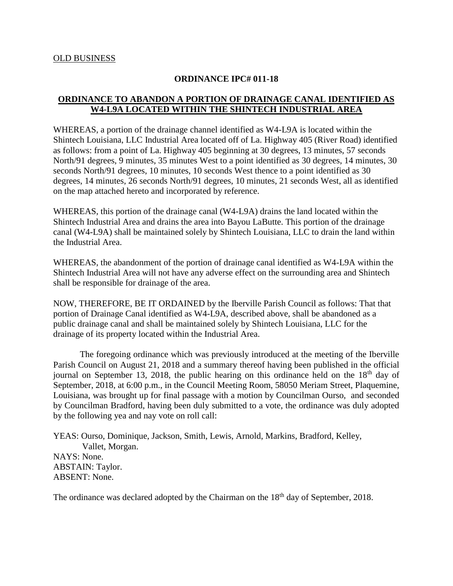#### **ORDINANCE IPC# 011-18**

# **ORDINANCE TO ABANDON A PORTION OF DRAINAGE CANAL IDENTIFIED AS W4-L9A LOCATED WITHIN THE SHINTECH INDUSTRIAL AREA**

WHEREAS, a portion of the drainage channel identified as W4-L9A is located within the Shintech Louisiana, LLC Industrial Area located off of La. Highway 405 (River Road) identified as follows: from a point of La. Highway 405 beginning at 30 degrees, 13 minutes, 57 seconds North/91 degrees, 9 minutes, 35 minutes West to a point identified as 30 degrees, 14 minutes, 30 seconds North/91 degrees, 10 minutes, 10 seconds West thence to a point identified as 30 degrees, 14 minutes, 26 seconds North/91 degrees, 10 minutes, 21 seconds West, all as identified on the map attached hereto and incorporated by reference.

WHEREAS, this portion of the drainage canal (W4-L9A) drains the land located within the Shintech Industrial Area and drains the area into Bayou LaButte. This portion of the drainage canal (W4-L9A) shall be maintained solely by Shintech Louisiana, LLC to drain the land within the Industrial Area.

WHEREAS, the abandonment of the portion of drainage canal identified as W4-L9A within the Shintech Industrial Area will not have any adverse effect on the surrounding area and Shintech shall be responsible for drainage of the area.

NOW, THEREFORE, BE IT ORDAINED by the Iberville Parish Council as follows: That that portion of Drainage Canal identified as W4-L9A, described above, shall be abandoned as a public drainage canal and shall be maintained solely by Shintech Louisiana, LLC for the drainage of its property located within the Industrial Area.

The foregoing ordinance which was previously introduced at the meeting of the Iberville Parish Council on August 21, 2018 and a summary thereof having been published in the official journal on September 13, 2018, the public hearing on this ordinance held on the  $18<sup>th</sup>$  day of September, 2018, at 6:00 p.m., in the Council Meeting Room, 58050 Meriam Street, Plaquemine, Louisiana, was brought up for final passage with a motion by Councilman Ourso, and seconded by Councilman Bradford, having been duly submitted to a vote, the ordinance was duly adopted by the following yea and nay vote on roll call:

YEAS: Ourso, Dominique, Jackson, Smith, Lewis, Arnold, Markins, Bradford, Kelley, Vallet, Morgan. NAYS: None. ABSTAIN: Taylor. ABSENT: None.

The ordinance was declared adopted by the Chairman on the 18<sup>th</sup> day of September, 2018.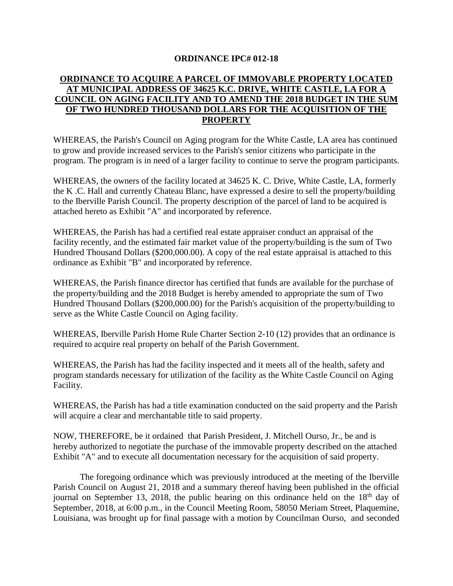### **ORDINANCE IPC# 012-18**

# **ORDINANCE TO ACQUIRE A PARCEL OF IMMOVABLE PROPERTY LOCATED AT MUNICIPAL ADDRESS OF 34625 K.C. DRIVE, WHITE CASTLE, LA FOR A COUNCIL ON AGING FACILITY AND TO AMEND THE 2018 BUDGET IN THE SUM OF TWO HUNDRED THOUSAND DOLLARS FOR THE ACQUISITION OF THE PROPERTY**

WHEREAS, the Parish's Council on Aging program for the White Castle, LA area has continued to grow and provide increased services to the Parish's senior citizens who participate in the program. The program is in need of a larger facility to continue to serve the program participants.

WHEREAS, the owners of the facility located at 34625 K. C. Drive, White Castle, LA, formerly the K .C. Hall and currently Chateau Blanc, have expressed a desire to sell the property/building to the Iberville Parish Council. The property description of the parcel of land to be acquired is attached hereto as Exhibit "A" and incorporated by reference.

WHEREAS, the Parish has had a certified real estate appraiser conduct an appraisal of the facility recently, and the estimated fair market value of the property/building is the sum of Two Hundred Thousand Dollars (\$200,000.00). A copy of the real estate appraisal is attached to this ordinance as Exhibit "B" and incorporated by reference.

WHEREAS, the Parish finance director has certified that funds are available for the purchase of the property/building and the 2018 Budget is hereby amended to appropriate the sum of Two Hundred Thousand Dollars (\$200,000.00) for the Parish's acquisition of the property/building to serve as the White Castle Council on Aging facility.

WHEREAS, Iberville Parish Home Rule Charter Section 2-10 (12) provides that an ordinance is required to acquire real property on behalf of the Parish Government.

WHEREAS, the Parish has had the facility inspected and it meets all of the health, safety and program standards necessary for utilization of the facility as the White Castle Council on Aging Facility.

WHEREAS, the Parish has had a title examination conducted on the said property and the Parish will acquire a clear and merchantable title to said property.

NOW, THEREFORE, be it ordained that Parish President, J. Mitchell Ourso, Jr., be and is hereby authorized to negotiate the purchase of the immovable property described on the attached Exhibit "A" and to execute all documentation necessary for the acquisition of said property.

The foregoing ordinance which was previously introduced at the meeting of the Iberville Parish Council on August 21, 2018 and a summary thereof having been published in the official journal on September 13, 2018, the public hearing on this ordinance held on the  $18<sup>th</sup>$  day of September, 2018, at 6:00 p.m., in the Council Meeting Room, 58050 Meriam Street, Plaquemine, Louisiana, was brought up for final passage with a motion by Councilman Ourso, and seconded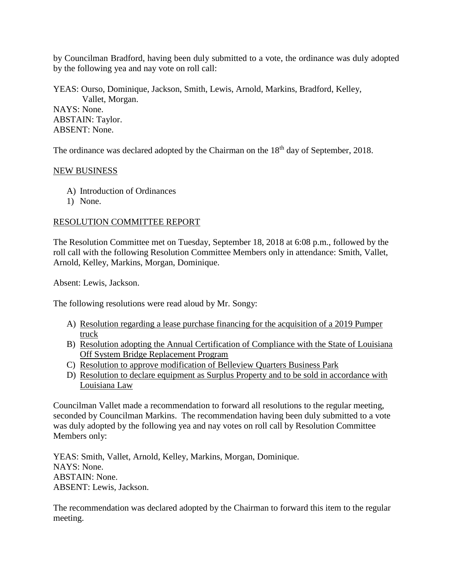by Councilman Bradford, having been duly submitted to a vote, the ordinance was duly adopted by the following yea and nay vote on roll call:

YEAS: Ourso, Dominique, Jackson, Smith, Lewis, Arnold, Markins, Bradford, Kelley, Vallet, Morgan. NAYS: None. ABSTAIN: Taylor.

ABSENT: None.

The ordinance was declared adopted by the Chairman on the 18<sup>th</sup> day of September, 2018.

### NEW BUSINESS

- A) Introduction of Ordinances
- 1) None.

## RESOLUTION COMMITTEE REPORT

The Resolution Committee met on Tuesday, September 18, 2018 at 6:08 p.m., followed by the roll call with the following Resolution Committee Members only in attendance: Smith, Vallet, Arnold, Kelley, Markins, Morgan, Dominique.

Absent: Lewis, Jackson.

The following resolutions were read aloud by Mr. Songy:

- A) Resolution regarding a lease purchase financing for the acquisition of a 2019 Pumper truck
- B) Resolution adopting the Annual Certification of Compliance with the State of Louisiana Off System Bridge Replacement Program
- C) Resolution to approve modification of Belleview Quarters Business Park
- D) Resolution to declare equipment as Surplus Property and to be sold in accordance with Louisiana Law

Councilman Vallet made a recommendation to forward all resolutions to the regular meeting, seconded by Councilman Markins. The recommendation having been duly submitted to a vote was duly adopted by the following yea and nay votes on roll call by Resolution Committee Members only:

YEAS: Smith, Vallet, Arnold, Kelley, Markins, Morgan, Dominique. NAYS: None. ABSTAIN: None. ABSENT: Lewis, Jackson.

The recommendation was declared adopted by the Chairman to forward this item to the regular meeting.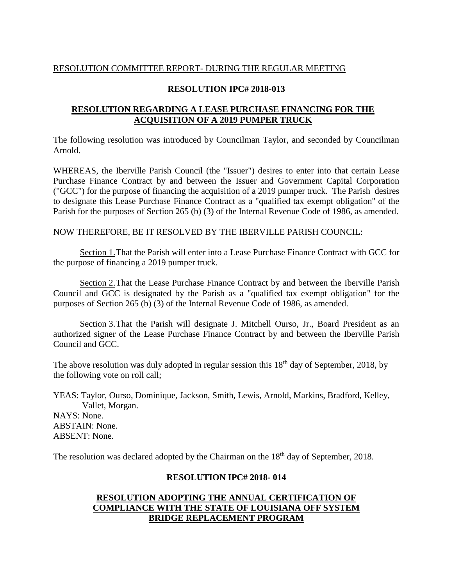## RESOLUTION COMMITTEE REPORT- DURING THE REGULAR MEETING

#### **RESOLUTION IPC# 2018-013**

## **RESOLUTION REGARDING A LEASE PURCHASE FINANCING FOR THE ACQUISITION OF A 2019 PUMPER TRUCK**

The following resolution was introduced by Councilman Taylor, and seconded by Councilman Arnold.

WHEREAS, the Iberville Parish Council (the "Issuer") desires to enter into that certain Lease Purchase Finance Contract by and between the Issuer and Government Capital Corporation ("GCC") for the purpose of financing the acquisition of a 2019 pumper truck. The Parish desires to designate this Lease Purchase Finance Contract as a "qualified tax exempt obligation'' of the Parish for the purposes of Section 265 (b) (3) of the Internal Revenue Code of 1986, as amended.

#### NOW THEREFORE, BE IT RESOLVED BY THE IBERVILLE PARISH COUNCIL:

Section 1. That the Parish will enter into a Lease Purchase Finance Contract with GCC for the purpose of financing a 2019 pumper truck.

Section 2.That the Lease Purchase Finance Contract by and between the Iberville Parish Council and GCC is designated by the Parish as a "qualified tax exempt obligation" for the purposes of Section 265 (b) (3) of the Internal Revenue Code of 1986, as amended.

Section 3.That the Parish will designate J. Mitchell Ourso, Jr., Board President as an authorized signer of the Lease Purchase Finance Contract by and between the Iberville Parish Council and GCC.

The above resolution was duly adopted in regular session this  $18<sup>th</sup>$  day of September, 2018, by the following vote on roll call;

YEAS: Taylor, Ourso, Dominique, Jackson, Smith, Lewis, Arnold, Markins, Bradford, Kelley, Vallet, Morgan. NAYS: None. ABSTAIN: None. ABSENT: None.

The resolution was declared adopted by the Chairman on the 18<sup>th</sup> day of September, 2018.

#### **RESOLUTION IPC# 2018- 014**

# **RESOLUTION ADOPTING THE ANNUAL CERTIFICATION OF COMPLIANCE WITH THE STATE OF LOUISIANA OFF SYSTEM BRIDGE REPLACEMENT PROGRAM**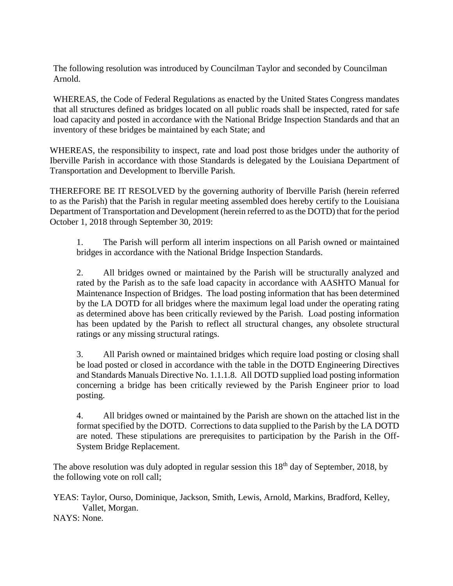The following resolution was introduced by Councilman Taylor and seconded by Councilman Arnold.

WHEREAS, the Code of Federal Regulations as enacted by the United States Congress mandates that all structures defined as bridges located on all public roads shall be inspected, rated for safe load capacity and posted in accordance with the National Bridge Inspection Standards and that an inventory of these bridges be maintained by each State; and

WHEREAS, the responsibility to inspect, rate and load post those bridges under the authority of Iberville Parish in accordance with those Standards is delegated by the Louisiana Department of Transportation and Development to Iberville Parish.

THEREFORE BE IT RESOLVED by the governing authority of Iberville Parish (herein referred to as the Parish) that the Parish in regular meeting assembled does hereby certify to the Louisiana Department of Transportation and Development (herein referred to as the DOTD) that for the period October 1, 2018 through September 30, 2019:

1. The Parish will perform all interim inspections on all Parish owned or maintained bridges in accordance with the National Bridge Inspection Standards.

2. All bridges owned or maintained by the Parish will be structurally analyzed and rated by the Parish as to the safe load capacity in accordance with AASHTO Manual for Maintenance Inspection of Bridges. The load posting information that has been determined by the LA DOTD for all bridges where the maximum legal load under the operating rating as determined above has been critically reviewed by the Parish. Load posting information has been updated by the Parish to reflect all structural changes, any obsolete structural ratings or any missing structural ratings.

3. All Parish owned or maintained bridges which require load posting or closing shall be load posted or closed in accordance with the table in the DOTD Engineering Directives and Standards Manuals Directive No. 1.1.1.8. All DOTD supplied load posting information concerning a bridge has been critically reviewed by the Parish Engineer prior to load posting.

4. All bridges owned or maintained by the Parish are shown on the attached list in the format specified by the DOTD. Corrections to data supplied to the Parish by the LA DOTD are noted. These stipulations are prerequisites to participation by the Parish in the Off-System Bridge Replacement.

The above resolution was duly adopted in regular session this  $18<sup>th</sup>$  day of September, 2018, by the following vote on roll call;

YEAS: Taylor, Ourso, Dominique, Jackson, Smith, Lewis, Arnold, Markins, Bradford, Kelley, Vallet, Morgan.

NAYS: None.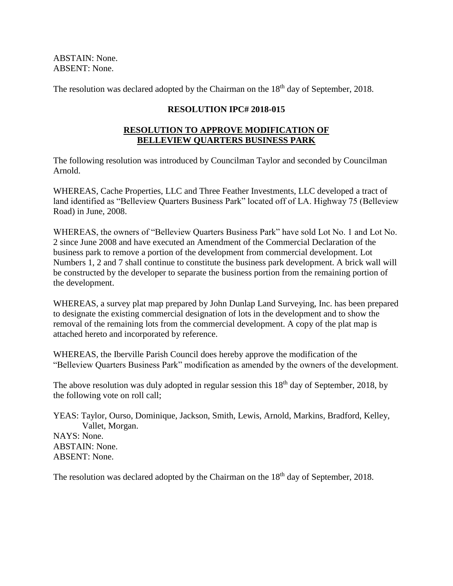ABSTAIN: None. ABSENT: None.

The resolution was declared adopted by the Chairman on the  $18<sup>th</sup>$  day of September, 2018.

# **RESOLUTION IPC# 2018-015**

# **RESOLUTION TO APPROVE MODIFICATION OF BELLEVIEW QUARTERS BUSINESS PARK**

The following resolution was introduced by Councilman Taylor and seconded by Councilman Arnold.

WHEREAS, Cache Properties, LLC and Three Feather Investments, LLC developed a tract of land identified as "Belleview Quarters Business Park" located off of LA. Highway 75 (Belleview Road) in June, 2008.

WHEREAS, the owners of "Belleview Quarters Business Park" have sold Lot No. 1 and Lot No. 2 since June 2008 and have executed an Amendment of the Commercial Declaration of the business park to remove a portion of the development from commercial development. Lot Numbers 1, 2 and 7 shall continue to constitute the business park development. A brick wall will be constructed by the developer to separate the business portion from the remaining portion of the development.

WHEREAS, a survey plat map prepared by John Dunlap Land Surveying, Inc. has been prepared to designate the existing commercial designation of lots in the development and to show the removal of the remaining lots from the commercial development. A copy of the plat map is attached hereto and incorporated by reference.

WHEREAS, the Iberville Parish Council does hereby approve the modification of the "Belleview Quarters Business Park" modification as amended by the owners of the development.

The above resolution was duly adopted in regular session this  $18<sup>th</sup>$  day of September, 2018, by the following vote on roll call;

YEAS: Taylor, Ourso, Dominique, Jackson, Smith, Lewis, Arnold, Markins, Bradford, Kelley, Vallet, Morgan. NAYS: None. ABSTAIN: None. ABSENT: None.

The resolution was declared adopted by the Chairman on the 18<sup>th</sup> day of September, 2018.